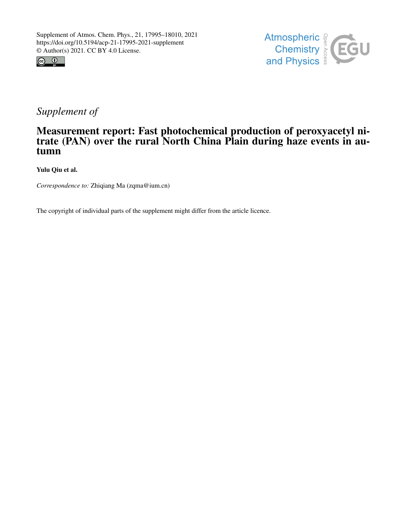



## *Supplement of*

## Measurement report: Fast photochemical production of peroxyacetyl nitrate (PAN) over the rural North China Plain during haze events in autumn

Yulu Qiu et al.

*Correspondence to:* Zhiqiang Ma (zqma@ium.cn)

The copyright of individual parts of the supplement might differ from the article licence.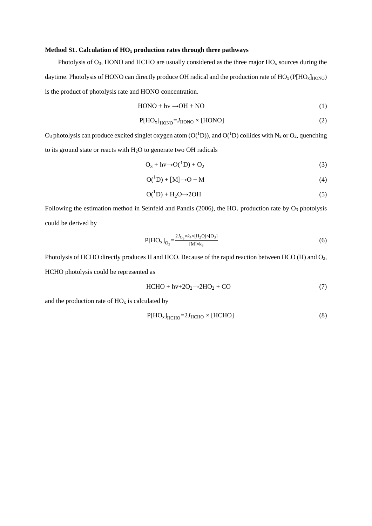## Method S1. Calculation of  $HO_x$  production rates through three pathways

 $\overline{a}$ 

Photolysis of  $O_3$ , HONO and HCHO are usually considered as the three major  $HO_x$  sources during the daytime. Photolysis of HONO can directly produce OH radical and the production rate of  $HO_x(PIHO_x)_{HONO}$ is the product of photolysis rate and HONO concentration.

$$
HONO + hv \rightarrow OH + NO \tag{1}
$$

$$
P[HO_x]_{HONO} = J_{HONO} \times [HONO]
$$
 (2)

 $O_3$  photolysis can produce excited singlet oxygen atom (O( $^1$ D)), and O( $^1$ D) collides with N<sub>2</sub> or O<sub>2</sub>, quenching to its ground state or reacts with H2O to generate two OH radicals

$$
O_3 + hv \rightarrow O(^{1}D) + O_2 \tag{3}
$$

$$
O(^{1}D) + [M] \rightarrow O + M \tag{4}
$$

$$
O(^{1}D) + H_{2}O \rightarrow 2OH
$$
 (5)

Following the estimation method in Seinfeld and Pandis (2006), the  $HO<sub>x</sub>$  production rate by  $O<sub>3</sub>$  photolysis could be derived by

$$
P[HO_x]_{O_3} = \frac{2J_{O_3} \times k_4 \times [H_2O] \times [O_3]}{[M] \times k_3}
$$
 (6)

Photolysis of HCHO directly produces H and HCO. Because of the rapid reaction between HCO (H) and O<sub>2</sub>, HCHO photolysis could be represented as

$$
HCHO + hv + 2O2 \rightarrow 2HO2 + CO
$$
 (7)

and the production rate of  $HO_x$  is calculated by

$$
P[HO_x]_{HCHO} = 2J_{HCHO} \times [HCHO]
$$
\n(8)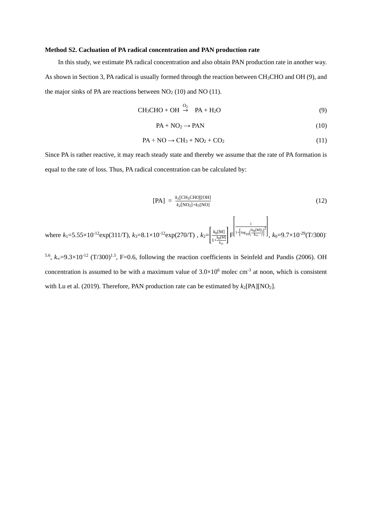## **Method S2. Cacluation of PA radical concentration and PAN production rate**

In this study, we estimate PA radical concentration and also obtain PAN production rate in another way. As shown in Section 3, PA radical is usually formed through the reaction between CH3CHO and OH (9), and the major sinks of PA are reactions between  $NO<sub>2</sub> (10)$  and  $NO (11)$ .

$$
CH_3CHO + OH \stackrel{O_2}{\rightarrow} PA + H_2O \tag{9}
$$

$$
PA + NO_2 \rightarrow PAN \tag{10}
$$

$$
PA + NO \rightarrow CH_3 + NO_2 + CO_2 \tag{11}
$$

Since PA is rather reactive, it may reach steady state and thereby we assume that the rate of PA formation is equal to the rate of loss. Thus, PA radical concentration can be calculated by:

$$
[PA] = \frac{k_I [CH_3CHO][OH]}{k_2 [NO_2] + k_3 [NO]}
$$
 (12)

where 
$$
k_1 = 5.55 \times 10^{-12} \exp(311/T)
$$
,  $k_3 = 8.1 \times 10^{-12} \exp(270/T)$ ,  $k_2 = \left[\frac{k_0[M]}{1 + \frac{k_0[M]}{k_{\infty}}}\right] F^{\left[1 + \left[\log_{10}\left(\frac{k_0[M]}{k_{\infty}}\right)\right]^2}\right]$ ,  $k_0 = 9.7 \times 10^{-29} (T/300)^{-1}$ 

5.6, *k*∞=9.3×10-12 (T/300)1.5, F=0.6, following the reaction coefficients in Seinfeld and Pandis (2006). OH concentration is assumed to be with a maximum value of  $3.0 \times 10^6$  molec cm<sup>-3</sup> at noon, which is consistent with Lu et al. (2019). Therefore, PAN production rate can be estimated by  $k_2$ [PA][NO<sub>2</sub>].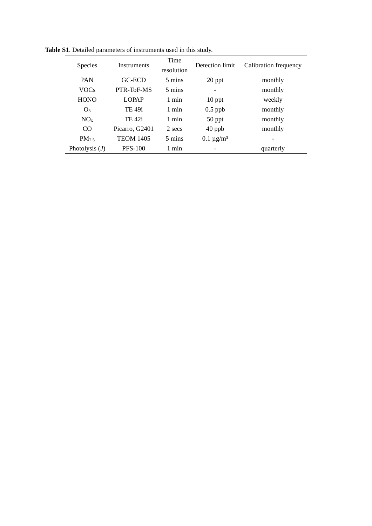| <b>Species</b>    | Instruments      | Time<br>resolution | Detection limit | Calibration frequency |
|-------------------|------------------|--------------------|-----------------|-----------------------|
| PAN               | GC-ECD           | 5 mins             | 20 ppt          | monthly               |
| <b>VOCs</b>       | PTR-ToF-MS       | 5 mins             |                 | monthly               |
| <b>HONO</b>       | <b>LOPAP</b>     | 1 min              | $10$ ppt        | weekly                |
| O <sub>3</sub>    | TE 49i           | 1 min              | $0.5$ ppb       | monthly               |
| NO <sub>x</sub>   | TE 42i           | 1 min              | $50$ ppt        | monthly               |
| CO                | Picarro, G2401   | 2 secs             | $40$ ppb        | monthly               |
| PM <sub>2.5</sub> | <b>TEOM 1405</b> | 5 mins             | $0.1 \mu g/m^3$ |                       |
| Photolysis $(J)$  | <b>PFS-100</b>   | 1 min              |                 | quarterly             |

**Table S1**. Detailed parameters of instruments used in this study.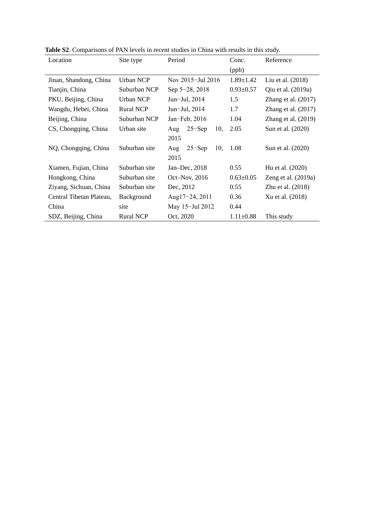| Location                               | Site type                         | Period                   | Conc.           | Reference             |
|----------------------------------------|-----------------------------------|--------------------------|-----------------|-----------------------|
|                                        |                                   |                          | (ppb)           |                       |
| Jinan, Shandong, China                 | Urban NCP                         | Nov 2015–Jul 2016        | $1.89 \pm 1.42$ | Liu et al. (2018)     |
| Tianjin, China                         | Suburban NCP                      | Sep 5-28, 2018           | $0.93 \pm 0.57$ | Qiu et al. (2019a)    |
| PKU, Beijing, China                    | <b>Urban NCP</b><br>Jun-Jul, 2014 |                          | 1.5             | Zhang et al. $(2017)$ |
| Wangdu, Hebei, China                   | <b>Rural NCP</b>                  | Jun-Jul, 2014            | 1.7             | Zhang et al. $(2017)$ |
| Beijing, China                         | Suburban NCP                      | Jan-Feb, $2016$          | 1.04            | Zhang et al. $(2019)$ |
| CS, Chongqing, China                   | Urban site                        | $25 -$ Sep<br>10,<br>Aug | 2.05            | Sun et al. (2020)     |
|                                        |                                   | 2015                     |                 |                       |
| NQ, Chongqing, China                   | Suburban site                     | $25 -$ Sep<br>10,<br>Aug | 1.08            | Sun et al. (2020)     |
|                                        |                                   | 2015                     |                 |                       |
| Xiamen, Fujian, China                  | Suburban site                     | Jan-Dec, 2018            | 0.55            | Hu et al. (2020)      |
| Hongkong, China                        | Suburban site                     | Oct–Nov, $2016$          | $0.63 \pm 0.05$ | Zeng et al. $(2019a)$ |
| Ziyang, Sichuan, China                 | Suburban site                     | Dec, 2012                | 0.55            | Zhu et al. (2018)     |
| Central Tibetan Plateau,<br>Background |                                   | Aug $17-24$ , 2011       | 0.36            | Xu et al. (2018)      |
| China                                  | site                              | May 15-Jul 2012          | 0.44            |                       |
| SDZ, Beijing, China                    | <b>Rural NCP</b>                  | Oct, 2020                | $1.11 \pm 0.88$ | This study            |

**Table S2**. Comparisons of PAN levels in recent studies in China with results in this study.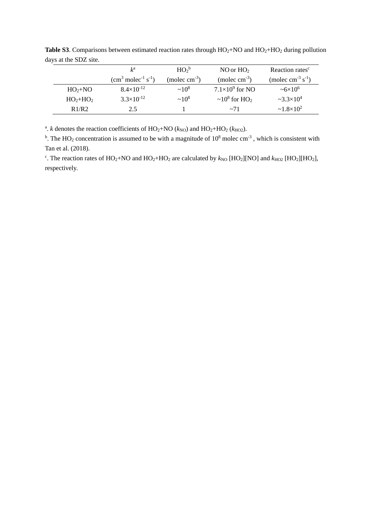|           | $k^{\rm a}$                                  | $HO2$ <sub>b</sub> | NO or $HO2$                                | Reaction rates <sup>c</sup>        |
|-----------|----------------------------------------------|--------------------|--------------------------------------------|------------------------------------|
|           | $(cm3$ molec <sup>-1</sup> s <sup>-1</sup> ) | (molec $cm^{-3}$ ) | (molec $cm^{-3}$ )                         | (molec cm <sup>-3</sup> $s^{-1}$ ) |
| $HO2+NO$  | $8.4\times10^{-12}$                          | $~10^8$            | $7.1\times10^9$ for NO                     | $~56 \times 10^6$                  |
| $HO2+HO2$ | $3.3\times10^{-12}$                          | $~10^8$            | $\sim$ 10 <sup>8</sup> for HO <sub>2</sub> | $-3.3\times10^{4}$                 |
| R1/R2     | 2.5                                          |                    | $\sim$ 71                                  | $\sim 1.8 \times 10^2$             |

Table S3. Comparisons between estimated reaction rates through HO<sub>2</sub>+NO and HO<sub>2</sub>+HO<sub>2</sub> during pollution days at the SDZ site.

<sup>a</sup>. *k* denotes the reaction coefficients of  $HO_2+NO$  ( $k_{NO}$ ) and  $HO_2+HO_2$  ( $k_{HO2}$ ).

<sup>b</sup>. The HO<sub>2</sub> concentration is assumed to be with a magnitude of  $10^8$  molec cm<sup>-3</sup>, which is consistent with Tan et al. (2018).

<sup>c</sup>. The reaction rates of HO<sub>2</sub>+NO and HO<sub>2</sub>+HO<sub>2</sub> are calculated by  $k_{NO}$  [HO<sub>2</sub>][NO] and  $k_{HO2}$  [HO<sub>2</sub>][HO<sub>2</sub>], respectively.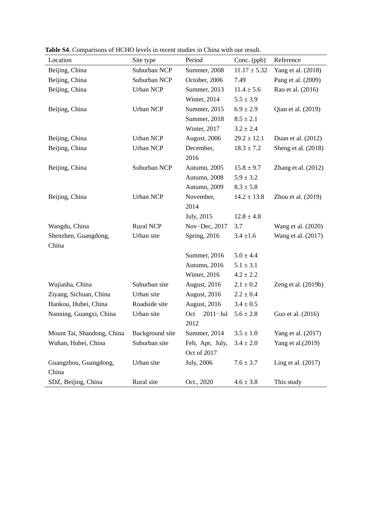| Location                   | Site type        | Period              | Conc. (ppb)      | Reference           |
|----------------------------|------------------|---------------------|------------------|---------------------|
| Beijing, China             | Suburban NCP     | Summer, 2008        | $11.17 \pm 5.32$ | Yang et al. (2018)  |
| Beijing, China             | Suburban NCP     | October, 2006       | 7.49             | Pang et al. (2009)  |
| Beijing, China             | <b>Urban NCP</b> | Summer, 2013        | $11.4 \pm 5.6$   | Rao et al. (2016)   |
|                            |                  | Winter, 2014        | $5.5 \pm 3.9$    |                     |
| Beijing, China             | <b>Urban NCP</b> | Summer, 2015        | $6.9 \pm 2.9$    | Qian et al. (2019)  |
|                            |                  | Summer, 2018        | $8.5 \pm 2.1$    |                     |
|                            |                  | Winter, 2017        | $3.2 \pm 2.4$    |                     |
| Beijing, China             | <b>Urban NCP</b> | August, 2006        | $29.2 \pm 12.1$  | Duan et al. (2012)  |
| Beijing, China             | <b>Urban NCP</b> | December,           | $18.3 \pm 7.2$   | Sheng et al. (2018) |
|                            |                  | 2016                |                  |                     |
| Beijing, China             | Suburban NCP     | Autumn, 2005        | $15.8 \pm 9.7$   | Zhang et al. (2012) |
|                            |                  | Autumn, 2008        | $5.9 \pm 3.2$    |                     |
|                            |                  | Autumn, 2009        | $8.3 \pm 5.8$    |                     |
| Beijing, China             | <b>Urban NCP</b> | November,           | $14.2 \pm 13.8$  | Zhou et al. (2019)  |
|                            |                  | 2014                |                  |                     |
|                            |                  | July, 2015          | $12.8 \pm 4.8$   |                     |
| Wangdu, China              | <b>Rural NCP</b> | Nov-Dec, 2017       | 3.7              | Wang et al. (2020)  |
| Shenzhen, Guangdong,       | Urban site       | Spring, 2016        | $3.4 \pm 1.6$    | Wang et al. (2017)  |
| China                      |                  |                     |                  |                     |
|                            |                  | Summer, 2016        | $5.0 \pm 4.4$    |                     |
|                            |                  | Autumn, 2016        | $5.1 \pm 3.1$    |                     |
|                            |                  | Winter, 2016        | $4.2 \pm 2.2$    |                     |
| Wujiasha, China            | Suburban site    | August, 2016        | $2.1 \pm 0.2$    | Zeng et al. (2019b) |
| Ziyang, Sichuan, China     | Urban site       | August, 2016        | $2.2 \pm 0.4$    |                     |
| Hankou, Hubei, China       | Roadside site    | August, 2016        | $3.4 \pm 0.5$    |                     |
| Nanning, Guangxi, China    | Urban site       | $2011 -$ Jul<br>Oct | $5.6 \pm 2.8$    | Guo et al. (2016)   |
|                            |                  | 2012                |                  |                     |
| Mount Tai, Shandong, China | Background site  | Summer, 2014        | $3.5 \pm 1.0$    | Yang et al. (2017)  |
| Wuhan, Hubei, China        | Suburban site    | Feb, Apr, July,     | $3.4 \pm 2.0$    | Yang et al. (2019)  |
|                            |                  | Oct of 2017         |                  |                     |
| Guangzhou, Guangdong,      | Urban site       | July, 2006          | $7.6 \pm 3.7$    | Ling et al. (2017)  |
| China                      |                  |                     |                  |                     |
| SDZ, Beijing, China        | Rural site       | Oct., 2020          | $4.6 \pm 3.8$    | This study          |

**Table S4**. Comparisons of HCHO levels in recent studies in China with our result.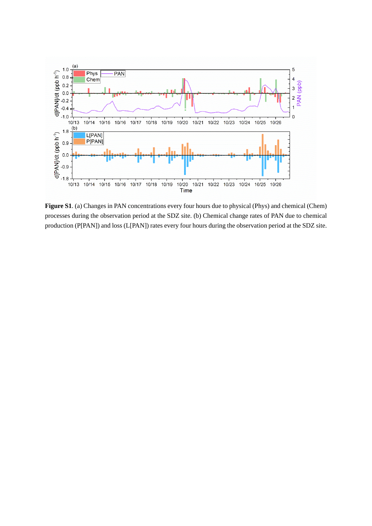

**Figure S1**. (a) Changes in PAN concentrations every four hours due to physical (Phys) and chemical (Chem) processes during the observation period at the SDZ site. (b) Chemical change rates of PAN due to chemical production (P[PAN]) and loss (L[PAN]) rates every four hours during the observation period at the SDZ site.